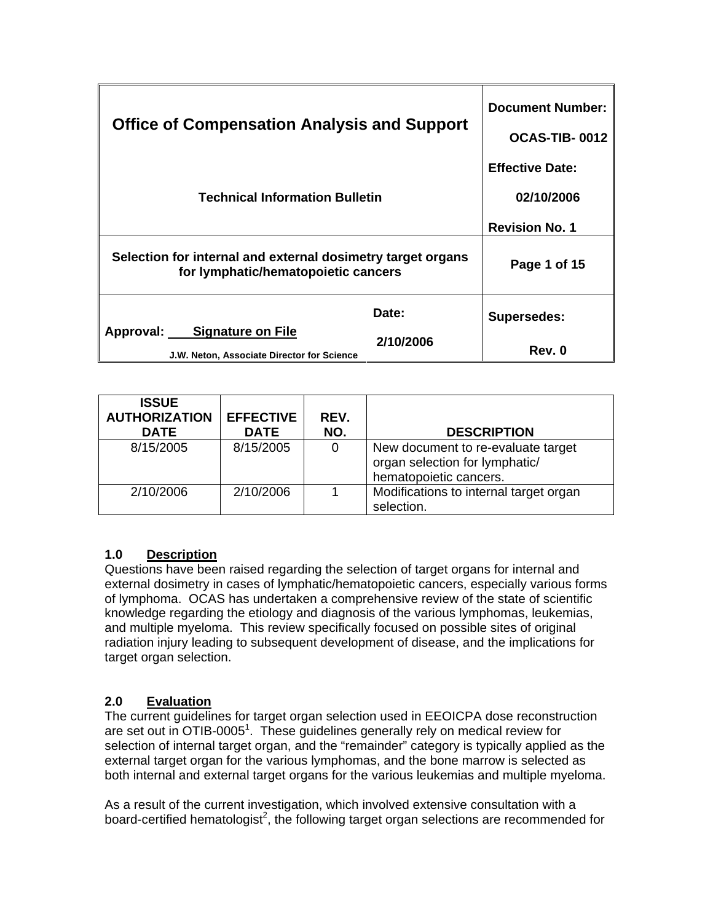| <b>Office of Compensation Analysis and Support</b>                                                 |                    | <b>Document Number:</b><br>OCAS-TIB-0012                      |
|----------------------------------------------------------------------------------------------------|--------------------|---------------------------------------------------------------|
| <b>Technical Information Bulletin</b>                                                              |                    | <b>Effective Date:</b><br>02/10/2006<br><b>Revision No. 1</b> |
| Selection for internal and external dosimetry target organs<br>for lymphatic/hematopoietic cancers |                    | Page 1 of 15                                                  |
| Approval: Signature on File<br>J.W. Neton, Associate Director for Science                          | Date:<br>2/10/2006 | <b>Supersedes:</b><br>Rev. 0                                  |

| <b>ISSUE</b><br><b>AUTHORIZATION</b><br><b>DATE</b> | <b>EFFECTIVE</b><br><b>DATE</b> | REV.<br>NO. | <b>DESCRIPTION</b>                                                                             |
|-----------------------------------------------------|---------------------------------|-------------|------------------------------------------------------------------------------------------------|
| 8/15/2005                                           | 8/15/2005                       | 0           | New document to re-evaluate target<br>organ selection for lymphatic/<br>hematopoietic cancers. |
| 2/10/2006                                           | 2/10/2006                       |             | Modifications to internal target organ<br>selection.                                           |

# **1.0 Description**

Questions have been raised regarding the selection of target organs for internal and external dosimetry in cases of lymphatic/hematopoietic cancers, especially various forms of lymphoma. OCAS has undertaken a comprehensive review of the state of scientific knowledge regarding the etiology and diagnosis of the various lymphomas, leukemias, and multiple myeloma. This review specifically focused on possible sites of original radiation injury leading to subsequent development of disease, and the implications for target organ selection.

# **2.0 Evaluation**

The current guidelines for target organ selection used in EEOICPA dose reconstruction are set out in OTIB-0005<sup>1</sup>. These guidelines generally rely on medical review for selection of internal target organ, and the "remainder" category is typically applied as the external target organ for the various lymphomas, and the bone marrow is selected as both internal and external target organs for the various leukemias and multiple myeloma.

As a result of the current investigation, which involved extensive consultation with a board-certified hematologist<sup>2</sup>, the following target organ selections are recommended for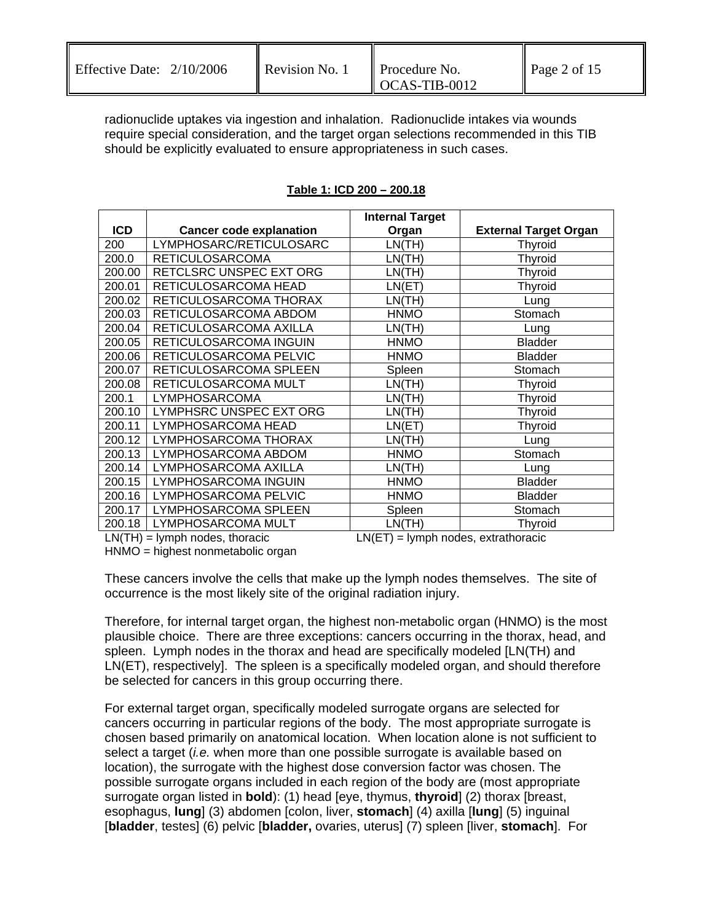| Effective Date: $2/10/2006$ | Revision No. 1 | <b>Procedure No.</b>       | Page 2 of 15 |
|-----------------------------|----------------|----------------------------|--------------|
|                             |                | $\overline{OCAS-TIB-0012}$ |              |

radionuclide uptakes via ingestion and inhalation. Radionuclide intakes via wounds require special consideration, and the target organ selections recommended in this TIB should be explicitly evaluated to ensure appropriateness in such cases.

|            |                                | <b>Internal Target</b> |                              |
|------------|--------------------------------|------------------------|------------------------------|
| <b>ICD</b> | <b>Cancer code explanation</b> | Organ                  | <b>External Target Organ</b> |
| 200        | LYMPHOSARC/RETICULOSARC        | LN(TH)                 | <b>Thyroid</b>               |
| 200.0      | <b>RETICULOSARCOMA</b>         | LN(TH)                 | <b>Thyroid</b>               |
| 200.00     | RETCLSRC UNSPEC EXT ORG        | LN(TH)                 | <b>Thyroid</b>               |
| 200.01     | RETICULOSARCOMA HEAD           | LN(ET)                 | Thyroid                      |
| 200.02     | RETICULOSARCOMA THORAX         | LN(TH)                 | Lung                         |
| 200.03     | RETICULOSARCOMA ABDOM          | <b>HNMO</b>            | Stomach                      |
| 200.04     | RETICULOSARCOMA AXILLA         | LN(TH)                 | Lung                         |
| 200.05     | RETICULOSARCOMA INGUIN         | <b>HNMO</b>            | <b>Bladder</b>               |
| 200.06     | RETICULOSARCOMA PELVIC         | <b>HNMO</b>            | <b>Bladder</b>               |
| 200.07     | RETICULOSARCOMA SPLEEN         | Spleen                 | Stomach                      |
| 200.08     | RETICULOSARCOMA MULT           | LN(TH)                 | Thyroid                      |
| 200.1      | LYMPHOSARCOMA                  | LN(TH)                 | <b>Thyroid</b>               |
| 200.10     | LYMPHSRC UNSPEC EXT ORG        | LN(TH)                 | Thyroid                      |
| 200.11     | LYMPHOSARCOMA HEAD             | LN(ET)                 | Thyroid                      |
| 200.12     | LYMPHOSARCOMA THORAX           | LN(TH)                 | Lung                         |
| 200.13     | LYMPHOSARCOMA ABDOM            | <b>HNMO</b>            | Stomach                      |
| 200.14     | LYMPHOSARCOMA AXILLA           | LN(TH)                 | Lung                         |
| 200.15     | LYMPHOSARCOMA INGUIN           | <b>HNMO</b>            | <b>Bladder</b>               |
| 200.16     | LYMPHOSARCOMA PELVIC           | <b>HNMO</b>            | <b>Bladder</b>               |
| 200.17     | LYMPHOSARCOMA SPLEEN           | Spleen                 | Stomach                      |
| 200.18     | LYMPHOSARCOMA MULT             | LN(TH)                 | Thyroid                      |

## **Table 1: ICD 200 – 200.18**

 $LN(TH) =$  lymph nodes, thoracic  $LN(ET) =$  lymph nodes, extrathoracic

HNMO = highest nonmetabolic organ

These cancers involve the cells that make up the lymph nodes themselves. The site of occurrence is the most likely site of the original radiation injury.

Therefore, for internal target organ, the highest non-metabolic organ (HNMO) is the most plausible choice. There are three exceptions: cancers occurring in the thorax, head, and spleen. Lymph nodes in the thorax and head are specifically modeled [LN(TH) and LN(ET), respectively]. The spleen is a specifically modeled organ, and should therefore be selected for cancers in this group occurring there.

For external target organ, specifically modeled surrogate organs are selected for cancers occurring in particular regions of the body. The most appropriate surrogate is chosen based primarily on anatomical location. When location alone is not sufficient to select a target (*i.e.* when more than one possible surrogate is available based on location), the surrogate with the highest dose conversion factor was chosen. The possible surrogate organs included in each region of the body are (most appropriate surrogate organ listed in **bold**): (1) head [eye, thymus, **thyroid**] (2) thorax [breast, esophagus, **lung**] (3) abdomen [colon, liver, **stomach**] (4) axilla [**lung**] (5) inguinal [**bladder**, testes] (6) pelvic [**bladder,** ovaries, uterus] (7) spleen [liver, **stomach**]. For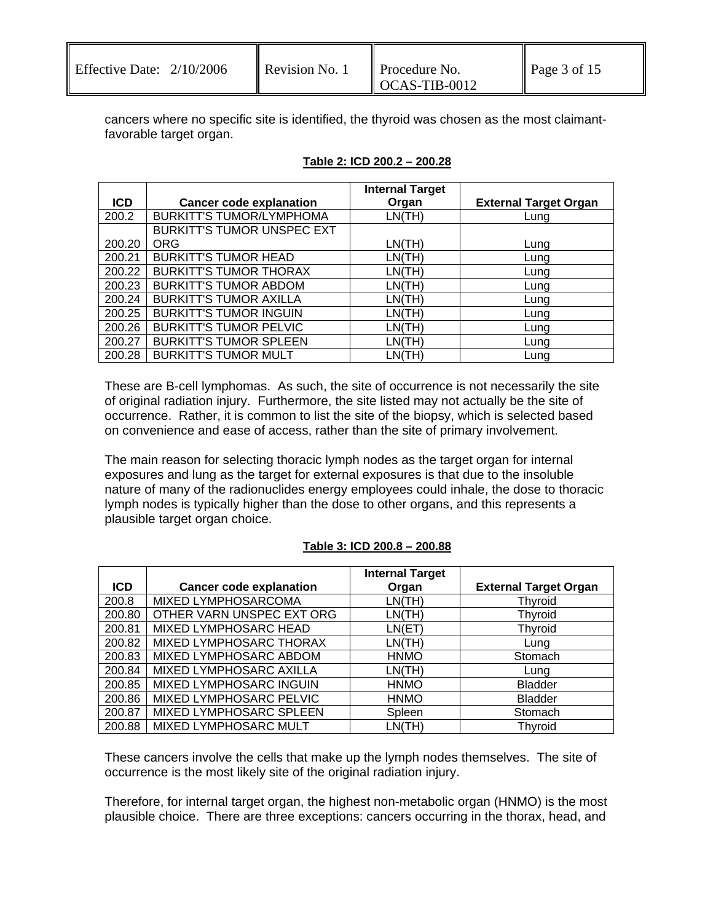| <b>Effective Date:</b> | 2/10/2006 |
|------------------------|-----------|
|------------------------|-----------|

cancers where no specific site is identified, the thyroid was chosen as the most claimantfavorable target organ.

|            |                                   | <b>Internal Target</b> |                              |
|------------|-----------------------------------|------------------------|------------------------------|
| <b>ICD</b> | <b>Cancer code explanation</b>    | Organ                  | <b>External Target Organ</b> |
| 200.2      | <b>BURKITT'S TUMOR/LYMPHOMA</b>   | LN(TH)                 | Lung                         |
|            | <b>BURKITT'S TUMOR UNSPEC EXT</b> |                        |                              |
| 200.20     | <b>ORG</b>                        | LN(TH)                 | Lung                         |
| 200.21     | <b>BURKITT'S TUMOR HEAD</b>       | LN(TH)                 | Lung                         |
| 200.22     | <b>BURKITT'S TUMOR THORAX</b>     | LN(TH)                 | Lung                         |
| 200.23     | <b>BURKITT'S TUMOR ABDOM</b>      | LN(TH)                 | Lung                         |
| 200.24     | <b>BURKITT'S TUMOR AXILLA</b>     | LN(TH)                 | Lung                         |
| 200.25     | <b>BURKITT'S TUMOR INGUIN</b>     | LN(TH)                 | Lung                         |
| 200.26     | <b>BURKITT'S TUMOR PELVIC</b>     | LN(TH)                 | Lung                         |
| 200.27     | <b>BURKITT'S TUMOR SPLEEN</b>     | LN(TH)                 | Lung                         |
| 200.28     | <b>BURKITT'S TUMOR MULT</b>       | LN(TH)                 | Lung                         |

### **Table 2: ICD 200.2 – 200.28**

These are B-cell lymphomas. As such, the site of occurrence is not necessarily the site of original radiation injury. Furthermore, the site listed may not actually be the site of occurrence. Rather, it is common to list the site of the biopsy, which is selected based on convenience and ease of access, rather than the site of primary involvement.

The main reason for selecting thoracic lymph nodes as the target organ for internal exposures and lung as the target for external exposures is that due to the insoluble nature of many of the radionuclides energy employees could inhale, the dose to thoracic lymph nodes is typically higher than the dose to other organs, and this represents a plausible target organ choice.

### **Table 3: ICD 200.8 – 200.88**

|        |                                | <b>Internal Target</b> |                              |
|--------|--------------------------------|------------------------|------------------------------|
| ICD.   | <b>Cancer code explanation</b> | Organ                  | <b>External Target Organ</b> |
| 200.8  | MIXED LYMPHOSARCOMA            | LN(TH)                 | Thyroid                      |
| 200.80 | OTHER VARN UNSPEC EXT ORG      | LN(TH)                 | <b>Thyroid</b>               |
| 200.81 | MIXED LYMPHOSARC HEAD          | LN(ET)                 | <b>Thyroid</b>               |
| 200.82 | MIXED LYMPHOSARC THORAX        | LN(TH)                 | Lung                         |
| 200.83 | MIXED LYMPHOSARC ABDOM         | <b>HNMO</b>            | Stomach                      |
| 200.84 | MIXED LYMPHOSARC AXILLA        | LN(TH)                 | Lung                         |
| 200.85 | MIXED LYMPHOSARC INGUIN        | <b>HNMO</b>            | <b>Bladder</b>               |
| 200.86 | MIXED LYMPHOSARC PELVIC        | <b>HNMO</b>            | <b>Bladder</b>               |
| 200.87 | MIXED LYMPHOSARC SPLEEN        | Spleen                 | Stomach                      |
| 200.88 | MIXED LYMPHOSARC MULT          | LN(TH)                 | <b>Thyroid</b>               |

These cancers involve the cells that make up the lymph nodes themselves. The site of occurrence is the most likely site of the original radiation injury.

Therefore, for internal target organ, the highest non-metabolic organ (HNMO) is the most plausible choice. There are three exceptions: cancers occurring in the thorax, head, and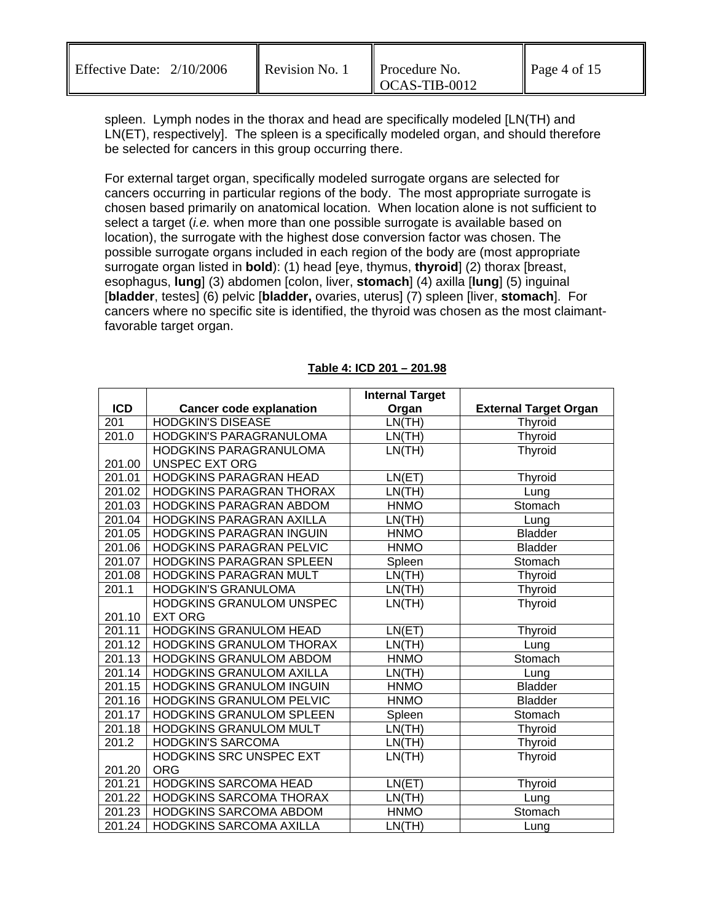| Effective Date: $2/10/2006$ | Revision No. 1 | <b>Procedure No.</b>   |              |
|-----------------------------|----------------|------------------------|--------------|
|                             |                |                        | Page 4 of 15 |
|                             |                | $\text{OCAS-TIB-}0012$ |              |

spleen. Lymph nodes in the thorax and head are specifically modeled [LN(TH) and LN(ET), respectively]. The spleen is a specifically modeled organ, and should therefore be selected for cancers in this group occurring there.

For external target organ, specifically modeled surrogate organs are selected for cancers occurring in particular regions of the body. The most appropriate surrogate is chosen based primarily on anatomical location. When location alone is not sufficient to select a target (*i.e.* when more than one possible surrogate is available based on location), the surrogate with the highest dose conversion factor was chosen. The possible surrogate organs included in each region of the body are (most appropriate surrogate organ listed in **bold**): (1) head [eye, thymus, **thyroid**] (2) thorax [breast, esophagus, **lung**] (3) abdomen [colon, liver, **stomach**] (4) axilla [**lung**] (5) inguinal [**bladder**, testes] (6) pelvic [**bladder,** ovaries, uterus] (7) spleen [liver, **stomach**]. For cancers where no specific site is identified, the thyroid was chosen as the most claimantfavorable target organ.

|                    |                                 | <b>Internal Target</b> |                              |
|--------------------|---------------------------------|------------------------|------------------------------|
| <b>ICD</b>         | <b>Cancer code explanation</b>  | Organ                  | <b>External Target Organ</b> |
| $\overline{201}$   | <b>HODGKIN'S DISEASE</b>        | LN(TH)                 | Thyroid                      |
| 201.0              | HODGKIN'S PARAGRANULOMA         | LN(TH)                 | Thyroid                      |
|                    | HODGKINS PARAGRANULOMA          | LN(TH)                 | Thyroid                      |
| 201.00             | <b>UNSPEC EXT ORG</b>           |                        |                              |
| 201.01             | HODGKINS PARAGRAN HEAD          | LN(ET)                 | Thyroid                      |
| 201.02             | HODGKINS PARAGRAN THORAX        | LN(TH)                 | Lung                         |
| 201.03             | HODGKINS PARAGRAN ABDOM         | <b>HNMO</b>            | Stomach                      |
| 201.04             | HODGKINS PARAGRAN AXILLA        | LN(TH)                 | Lung                         |
| 201.05             | HODGKINS PARAGRAN INGUIN        | <b>HNMO</b>            | <b>Bladder</b>               |
| 201.06             | <b>HODGKINS PARAGRAN PELVIC</b> | <b>HNMO</b>            | <b>Bladder</b>               |
| 201.07             | HODGKINS PARAGRAN SPLEEN        | Spleen                 | Stomach                      |
| 201.08             | HODGKINS PARAGRAN MULT          | LN(TH)                 | Thyroid                      |
| 201.1              | <b>HODGKIN'S GRANULOMA</b>      | LN(TH)                 | Thyroid                      |
|                    | HODGKINS GRANULOM UNSPEC        | LN(TH)                 | Thyroid                      |
| 201.10             | <b>EXT ORG</b>                  |                        |                              |
| 201.11             | <b>HODGKINS GRANULOM HEAD</b>   | LN(ET)                 | Thyroid                      |
| 201.12             | HODGKINS GRANULOM THORAX        | LN(TH)                 | Lung                         |
| 201.13             | <b>HODGKINS GRANULOM ABDOM</b>  | <b>HNMO</b>            | Stomach                      |
| 201.14             | HODGKINS GRANULOM AXILLA        | LN(TH)                 | Lung                         |
| 201.15             | <b>HODGKINS GRANULOM INGUIN</b> | <b>HNMO</b>            | <b>Bladder</b>               |
| 201.16             | <b>HODGKINS GRANULOM PELVIC</b> | <b>HNMO</b>            | <b>Bladder</b>               |
| 201.17             | HODGKINS GRANULOM SPLEEN        | Spleen                 | Stomach                      |
| 201.18             | HODGKINS GRANULOM MULT          | LN(TH)                 | <b>Thyroid</b>               |
| $201.\overline{2}$ | <b>HODGKIN'S SARCOMA</b>        | LN(TH)                 | Thyroid                      |
|                    | HODGKINS SRC UNSPEC EXT         | LN(TH)                 | Thyroid                      |
| 201.20             | <b>ORG</b>                      |                        |                              |
| 201.21             | HODGKINS SARCOMA HEAD           | LN(ET)                 | <b>Thyroid</b>               |
| 201.22             | HODGKINS SARCOMA THORAX         | LN(TH)                 | Lung                         |
| 201.23             | HODGKINS SARCOMA ABDOM          | <b>HNMO</b>            | Stomach                      |
| 201.24             | <b>HODGKINS SARCOMA AXILLA</b>  | LN(TH)                 | Lung                         |

#### **Table 4: ICD 201 – 201.98**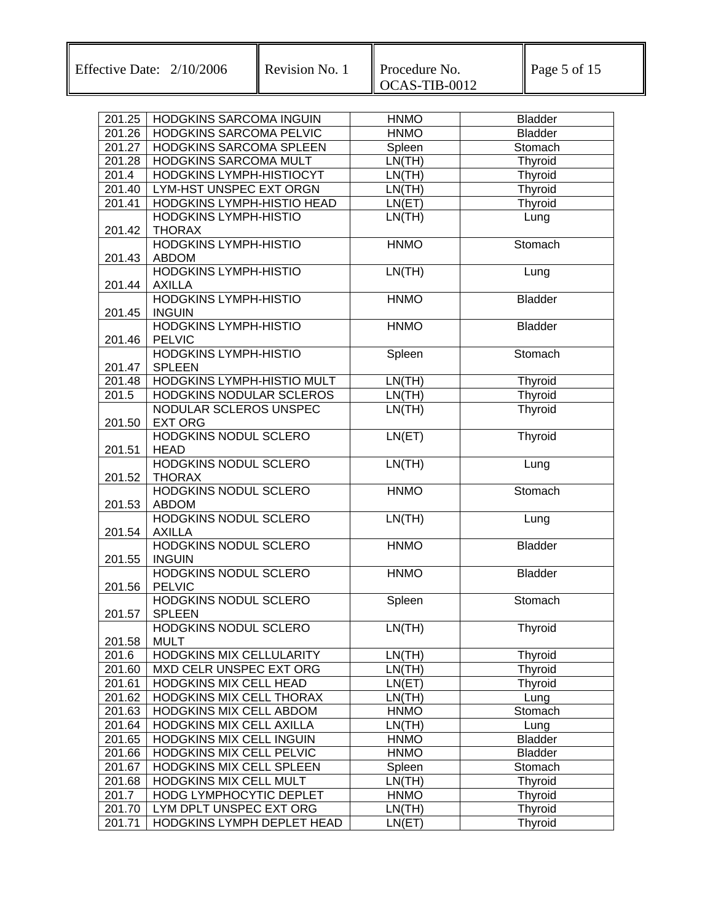| 201.25           | HODGKINS SARCOMA INGUIN                              | <b>HNMO</b>                | <b>Bladder</b>         |
|------------------|------------------------------------------------------|----------------------------|------------------------|
| 201.26           | HODGKINS SARCOMA PELVIC                              | <b>HNMO</b>                | <b>Bladder</b>         |
| 201.27           | HODGKINS SARCOMA SPLEEN                              | Spleen                     | Stomach                |
| 201.28           | HODGKINS SARCOMA MULT                                | LN(TH)                     | <b>Thyroid</b>         |
| 201.4            | HODGKINS LYMPH-HISTIOCYT                             | LN(TH)                     | Thyroid                |
| 201.40           | LYM-HST UNSPEC EXT ORGN                              | LN(TH)                     | Thyroid                |
| 201.41           | HODGKINS LYMPH-HISTIO HEAD                           | LN(ET)                     | Thyroid                |
|                  | <b>HODGKINS LYMPH-HISTIO</b>                         | LN(TH)                     | Lung                   |
| 201.42           | <b>THORAX</b>                                        |                            |                        |
|                  | <b>HODGKINS LYMPH-HISTIO</b>                         | <b>HNMO</b>                | Stomach                |
| 201.43           | <b>ABDOM</b>                                         |                            |                        |
|                  | <b>HODGKINS LYMPH-HISTIO</b>                         | LN(TH)                     | Lung                   |
| 201.44           | <b>AXILLA</b>                                        |                            |                        |
|                  | <b>HODGKINS LYMPH-HISTIO</b>                         | <b>HNMO</b>                | <b>Bladder</b>         |
| 201.45           | <b>INGUIN</b>                                        |                            |                        |
|                  | <b>HODGKINS LYMPH-HISTIO</b>                         | <b>HNMO</b>                | <b>Bladder</b>         |
| 201.46           | PELVIC                                               |                            |                        |
|                  | <b>HODGKINS LYMPH-HISTIO</b>                         | Spleen                     | Stomach                |
| 201.47           | <b>SPLEEN</b><br>HODGKINS LYMPH-HISTIO MULT          |                            |                        |
| 201.48<br>201.5  | HODGKINS NODULAR SCLEROS                             | LN(TH)                     | Thyroid                |
|                  | NODULAR SCLEROS UNSPEC                               | LN(TH)<br>LN(TH)           | <b>Thyroid</b>         |
| 201.50           | <b>EXT ORG</b>                                       |                            | Thyroid                |
|                  | <b>HODGKINS NODUL SCLERO</b>                         | LN(ET)                     | Thyroid                |
| 201.51           | <b>HEAD</b>                                          |                            |                        |
|                  | <b>HODGKINS NODUL SCLERO</b>                         | LN(TH)                     | Lung                   |
| 201.52           | <b>THORAX</b>                                        |                            |                        |
|                  | <b>HODGKINS NODUL SCLERO</b>                         | <b>HNMO</b>                | Stomach                |
| 201.53           | <b>ABDOM</b>                                         |                            |                        |
|                  | <b>HODGKINS NODUL SCLERO</b>                         | LN(TH)                     | Lung                   |
| 201.54           | <b>AXILLA</b>                                        |                            |                        |
|                  | <b>HODGKINS NODUL SCLERO</b>                         | <b>HNMO</b>                | <b>Bladder</b>         |
| 201.55           | <b>INGUIN</b>                                        |                            |                        |
|                  | <b>HODGKINS NODUL SCLERO</b>                         | <b>HNMO</b>                | <b>Bladder</b>         |
| 201.56           | <b>PELVIC</b>                                        |                            |                        |
|                  | HODGKINS NODUL SCLERO                                | Spleen                     | Stomach                |
| 201.57           | <b>SPLEEN</b>                                        |                            |                        |
|                  | <b>HODGKINS NODUL SCLERO</b>                         | LN(TH)                     | Thyroid                |
| 201.58           | <b>MULT</b>                                          |                            |                        |
| 201.6            | HODGKINS MIX CELLULARITY                             | LN(TH)                     | <b>Thyroid</b>         |
| 201.60           | MXD CELR UNSPEC EXT ORG                              | LN(TH)                     | <b>Thyroid</b>         |
| 201.61           | HODGKINS MIX CELL HEAD                               | LN(ET)                     | <b>Thyroid</b>         |
| 201.62           | HODGKINS MIX CELL THORAX                             | LN(TH)                     | Lung                   |
| 201.63           | HODGKINS MIX CELL ABDOM                              | <b>HNMO</b>                | Stomach                |
| 201.64           | HODGKINS MIX CELL AXILLA                             | LN(TH)                     | Lung<br><b>Bladder</b> |
| 201.65           | HODGKINS MIX CELL INGUIN<br>HODGKINS MIX CELL PELVIC | <b>HNMO</b><br><b>HNMO</b> | <b>Bladder</b>         |
| 201.66<br>201.67 | HODGKINS MIX CELL SPLEEN                             | Spleen                     | Stomach                |
| 201.68           | HODGKINS MIX CELL MULT                               | LN(TH)                     | Thyroid                |
| 201.7            | HODG LYMPHOCYTIC DEPLET                              | <b>HNMO</b>                | <b>Thyroid</b>         |
| 201.70           | LYM DPLT UNSPEC EXT ORG                              | LN(TH)                     | <b>Thyroid</b>         |
| 201.71           | HODGKINS LYMPH DEPLET HEAD                           | LN(ET)                     | <b>Thyroid</b>         |
|                  |                                                      |                            |                        |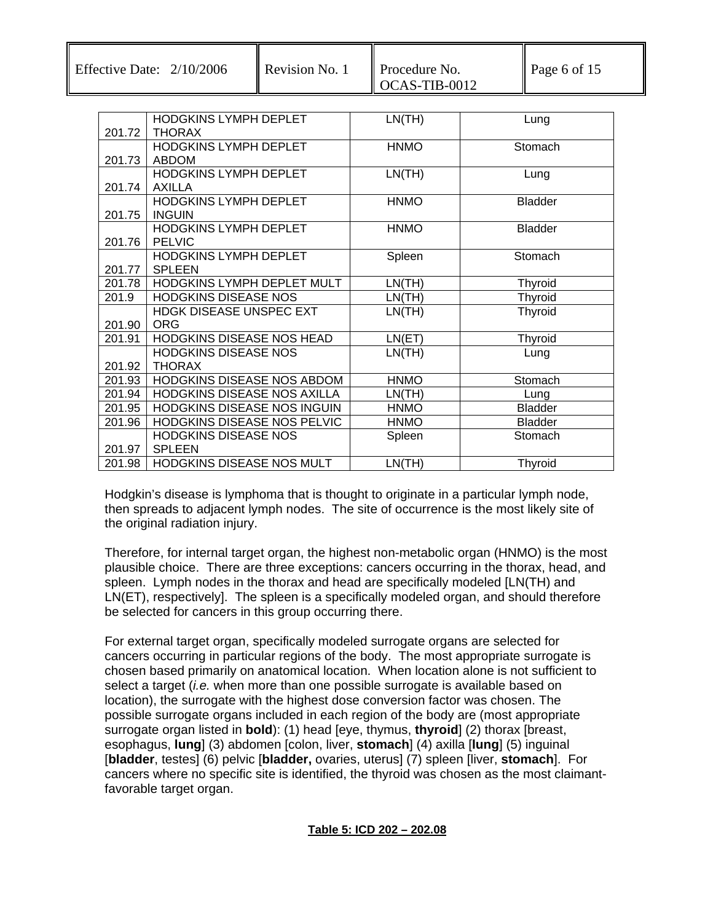Effective Date:  $2/10/2006$  Revision No. 1 Procedure No.

| Revision No. |
|--------------|
|              |

|        | <b>HODGKINS LYMPH DEPLET</b>   | LN(TH)      | Lung           |
|--------|--------------------------------|-------------|----------------|
| 201.72 | <b>THORAX</b>                  |             |                |
|        | <b>HODGKINS LYMPH DEPLET</b>   | <b>HNMO</b> | Stomach        |
| 201.73 | <b>ABDOM</b>                   |             |                |
|        | HODGKINS LYMPH DEPLET          | LN(TH)      | Lung           |
| 201.74 | AXILLA                         |             |                |
|        | <b>HODGKINS LYMPH DEPLET</b>   | <b>HNMO</b> | <b>Bladder</b> |
| 201.75 | <b>INGUIN</b>                  |             |                |
|        | <b>HODGKINS LYMPH DEPLET</b>   | <b>HNMO</b> | <b>Bladder</b> |
| 201.76 | <b>PELVIC</b>                  |             |                |
|        | HODGKINS LYMPH DEPLET          | Spleen      | Stomach        |
| 201.77 | <b>SPLEEN</b>                  |             |                |
| 201.78 | HODGKINS LYMPH DEPLET MULT     | LN(TH)      | <b>Thyroid</b> |
| 201.9  | <b>HODGKINS DISEASE NOS</b>    | LN(TH)      | <b>Thyroid</b> |
|        | <b>HDGK DISEASE UNSPEC EXT</b> | LN(TH)      | <b>Thyroid</b> |
| 201.90 | ORG                            |             |                |
| 201.91 | HODGKINS DISEASE NOS HEAD      | LN(ET)      | Thyroid        |
|        | <b>HODGKINS DISEASE NOS</b>    | LN(TH)      | Lung           |
| 201.92 | <b>THORAX</b>                  |             |                |
| 201.93 | HODGKINS DISEASE NOS ABDOM     | <b>HNMO</b> | Stomach        |
| 201.94 | HODGKINS DISEASE NOS AXILLA    | LN(TH)      | Lung           |
| 201.95 | HODGKINS DISEASE NOS INGUIN    | <b>HNMO</b> | <b>Bladder</b> |
| 201.96 | HODGKINS DISEASE NOS PELVIC    | <b>HNMO</b> | <b>Bladder</b> |
|        | <b>HODGKINS DISEASE NOS</b>    | Spleen      | Stomach        |
| 201.97 | <b>SPLEEN</b>                  |             |                |
| 201.98 | HODGKINS DISEASE NOS MULT      | LN(TH)      | <b>Thyroid</b> |

Hodgkin's disease is lymphoma that is thought to originate in a particular lymph node, then spreads to adjacent lymph nodes. The site of occurrence is the most likely site of the original radiation injury.

Therefore, for internal target organ, the highest non-metabolic organ (HNMO) is the most plausible choice. There are three exceptions: cancers occurring in the thorax, head, and spleen. Lymph nodes in the thorax and head are specifically modeled [LN(TH) and LN(ET), respectively]. The spleen is a specifically modeled organ, and should therefore be selected for cancers in this group occurring there.

For external target organ, specifically modeled surrogate organs are selected for cancers occurring in particular regions of the body. The most appropriate surrogate is chosen based primarily on anatomical location. When location alone is not sufficient to select a target (*i.e.* when more than one possible surrogate is available based on location), the surrogate with the highest dose conversion factor was chosen. The possible surrogate organs included in each region of the body are (most appropriate surrogate organ listed in **bold**): (1) head [eye, thymus, **thyroid**] (2) thorax [breast, esophagus, **lung**] (3) abdomen [colon, liver, **stomach**] (4) axilla [**lung**] (5) inguinal [**bladder**, testes] (6) pelvic [**bladder,** ovaries, uterus] (7) spleen [liver, **stomach**]. For cancers where no specific site is identified, the thyroid was chosen as the most claimantfavorable target organ.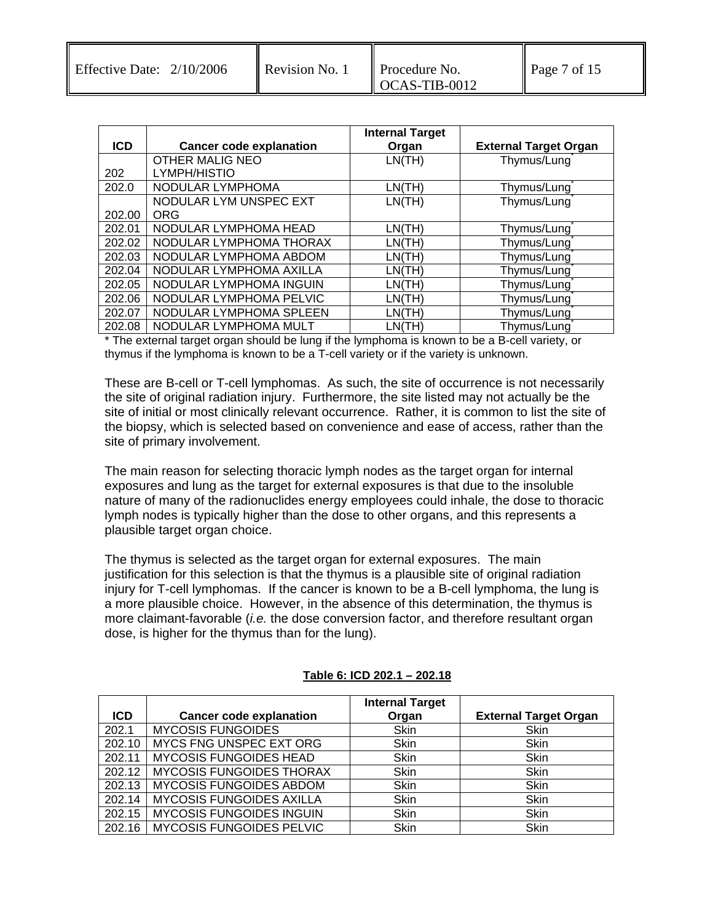|            |                                | <b>Internal Target</b> |                              |
|------------|--------------------------------|------------------------|------------------------------|
| <b>ICD</b> | <b>Cancer code explanation</b> | Organ                  | <b>External Target Organ</b> |
|            | <b>OTHER MALIG NEO</b>         | LN(TH)                 | Thymus/Lung                  |
| 202        | LYMPH/HISTIO                   |                        |                              |
| 202.0      | NODULAR LYMPHOMA               | LN(TH)                 | Thymus/Lung                  |
|            | NODULAR LYM UNSPEC EXT         | LN(TH)                 | Thymus/Lung                  |
| 202.00     | <b>ORG</b>                     |                        |                              |
| 202.01     | NODULAR LYMPHOMA HEAD          | LN(TH)                 | Thymus/Lung                  |
| 202.02     | NODULAR LYMPHOMA THORAX        | LN(TH)                 | Thymus/Lung                  |
| 202.03     | NODULAR LYMPHOMA ABDOM         | LN(TH)                 | Thymus/Lung                  |
| 202.04     | NODULAR LYMPHOMA AXILLA        | LN(TH)                 | Thymus/Lung                  |
| 202.05     | NODULAR LYMPHOMA INGUIN        | LN(TH)                 | Thymus/Lung                  |
| 202.06     | NODULAR LYMPHOMA PELVIC        | LN(TH)                 | Thymus/Lung                  |
| 202.07     | NODULAR LYMPHOMA SPLEEN        | LN(TH)                 | Thymus/Lung                  |
| 202.08     | NODULAR LYMPHOMA MULT          | LN(TH)                 | Thymus/Lung                  |

The external target organ should be lung if the lymphoma is known to be a B-cell variety, or thymus if the lymphoma is known to be a T-cell variety or if the variety is unknown.

These are B-cell or T-cell lymphomas. As such, the site of occurrence is not necessarily the site of original radiation injury. Furthermore, the site listed may not actually be the site of initial or most clinically relevant occurrence. Rather, it is common to list the site of the biopsy, which is selected based on convenience and ease of access, rather than the site of primary involvement.

The main reason for selecting thoracic lymph nodes as the target organ for internal exposures and lung as the target for external exposures is that due to the insoluble nature of many of the radionuclides energy employees could inhale, the dose to thoracic lymph nodes is typically higher than the dose to other organs, and this represents a plausible target organ choice.

The thymus is selected as the target organ for external exposures. The main justification for this selection is that the thymus is a plausible site of original radiation injury for T-cell lymphomas. If the cancer is known to be a B-cell lymphoma, the lung is a more plausible choice. However, in the absence of this determination, the thymus is more claimant-favorable (*i.e.* the dose conversion factor, and therefore resultant organ dose, is higher for the thymus than for the lung).

| <b>ICD</b> | <b>Cancer code explanation</b>  | <b>Internal Target</b><br>Organ | <b>External Target Organ</b> |
|------------|---------------------------------|---------------------------------|------------------------------|
| 202.1      | <b>MYCOSIS FUNGOIDES</b>        | Skin                            | Skin                         |
| 202.10     | MYCS FNG UNSPEC EXT ORG         | <b>Skin</b>                     | Skin                         |
| 202.11     | <b>MYCOSIS FUNGOIDES HEAD</b>   | <b>Skin</b>                     | Skin                         |
| 202.12     | <b>MYCOSIS FUNGOIDES THORAX</b> | <b>Skin</b>                     | Skin                         |
| 202.13     | <b>MYCOSIS FUNGOIDES ABDOM</b>  | <b>Skin</b>                     | Skin                         |
| 202.14     | <b>MYCOSIS FUNGOIDES AXILLA</b> | <b>Skin</b>                     | Skin                         |
| 202.15     | <b>MYCOSIS FUNGOIDES INGUIN</b> | <b>Skin</b>                     | Skin                         |
| 202.16     | MYCOSIS FUNGOIDES PELVIC        | Skin                            | Skin                         |

#### **Table 6: ICD 202.1 – 202.18**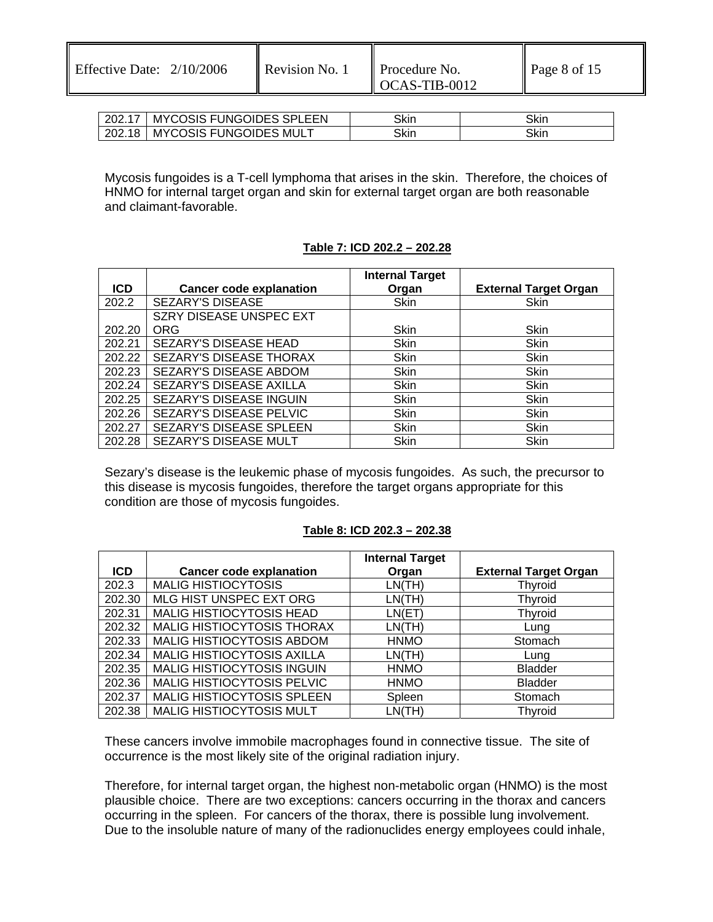| 202.17 | <b>MYCOSIS FUNGOIDES SPLEEN</b> | Skin | Skir |
|--------|---------------------------------|------|------|
| 202.18 | <b>MYCOSIS FUNGOIDES MULT</b>   | Skin | Skin |

Mycosis fungoides is a T-cell lymphoma that arises in the skin. Therefore, the choices of HNMO for internal target organ and skin for external target organ are both reasonable and claimant-favorable.

### **Table 7: ICD 202.2 – 202.28**

|            |                                | <b>Internal Target</b> |                              |
|------------|--------------------------------|------------------------|------------------------------|
| <b>ICD</b> | <b>Cancer code explanation</b> | Organ                  | <b>External Target Organ</b> |
| 202.2      | SEZARY'S DISEASE               | Skin                   | Skin                         |
|            | SZRY DISEASE UNSPEC EXT        |                        |                              |
| 202.20     | <b>ORG</b>                     | Skin                   | Skin                         |
| 202.21     | SEZARY'S DISEASE HEAD          | <b>Skin</b>            | Skin                         |
| 202.22     | SEZARY'S DISEASE THORAX        | <b>Skin</b>            | Skin                         |
| 202.23     | SEZARY'S DISEASE ABDOM         | <b>Skin</b>            | <b>Skin</b>                  |
| 202.24     | SEZARY'S DISEASE AXILLA        | <b>Skin</b>            | Skin                         |
| 202.25     | SEZARY'S DISEASE INGUIN        | <b>Skin</b>            | Skin                         |
| 202.26     | SEZARY'S DISEASE PELVIC        | Skin                   | <b>Skin</b>                  |
| 202.27     | SEZARY'S DISEASE SPLEEN        | <b>Skin</b>            | Skin                         |
| 202.28     | SEZARY'S DISEASE MULT          | Skin                   | Skin                         |

Sezary's disease is the leukemic phase of mycosis fungoides. As such, the precursor to this disease is mycosis fungoides, therefore the target organs appropriate for this condition are those of mycosis fungoides.

#### **Table 8: ICD 202.3 – 202.38**

|            |                                   | <b>Internal Target</b> |                              |
|------------|-----------------------------------|------------------------|------------------------------|
| <b>ICD</b> | <b>Cancer code explanation</b>    | Organ                  | <b>External Target Organ</b> |
| 202.3      | <b>MALIG HISTIOCYTOSIS</b>        | LN(TH)                 | <b>Thyroid</b>               |
| 202.30     | MLG HIST UNSPEC EXT ORG           | LN(TH)                 | <b>Thyroid</b>               |
| 202.31     | <b>MALIG HISTIOCYTOSIS HEAD</b>   | LN(ET)                 | <b>Thyroid</b>               |
| 202.32     | MALIG HISTIOCYTOSIS THORAX        | LN(TH)                 | Lung                         |
| 202.33     | MALIG HISTIOCYTOSIS ABDOM         | <b>HNMO</b>            | Stomach                      |
| 202.34     | MALIG HISTIOCYTOSIS AXILLA        | LN(TH)                 | Lung                         |
| 202.35     | <b>MALIG HISTIOCYTOSIS INGUIN</b> | <b>HNMO</b>            | <b>Bladder</b>               |
| 202.36     | MALIG HISTIOCYTOSIS PELVIC        | <b>HNMO</b>            | <b>Bladder</b>               |
| 202.37     | MALIG HISTIOCYTOSIS SPLEEN        | Spleen                 | Stomach                      |
| 202.38     | <b>MALIG HISTIOCYTOSIS MULT</b>   | LN(TH)                 | Thvroid                      |

These cancers involve immobile macrophages found in connective tissue. The site of occurrence is the most likely site of the original radiation injury.

Therefore, for internal target organ, the highest non-metabolic organ (HNMO) is the most plausible choice. There are two exceptions: cancers occurring in the thorax and cancers occurring in the spleen. For cancers of the thorax, there is possible lung involvement. Due to the insoluble nature of many of the radionuclides energy employees could inhale,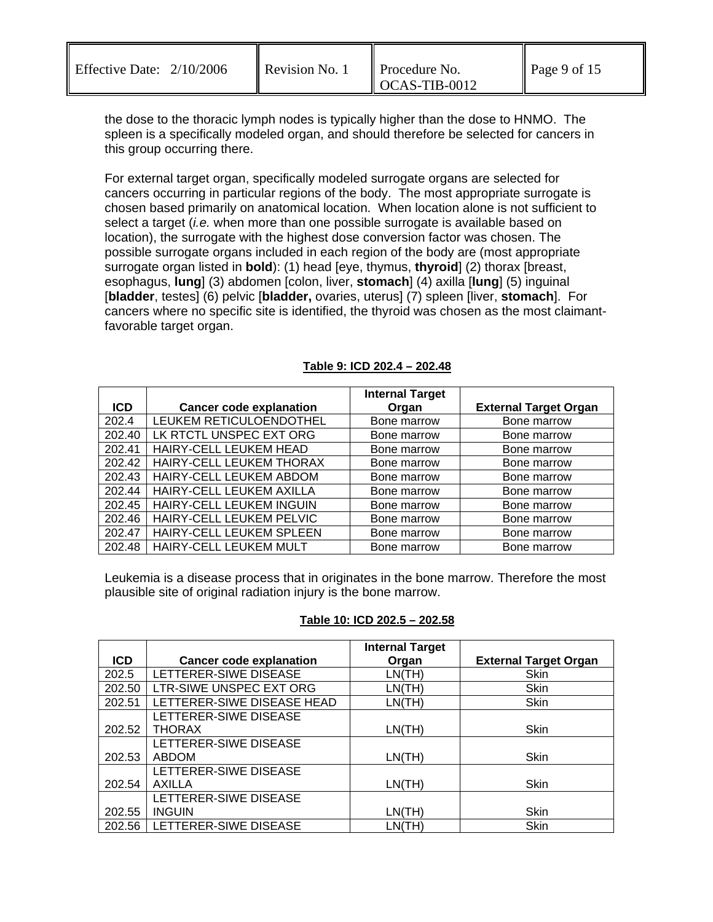| <b>Effective Date:</b> | 2/10/2006 |
|------------------------|-----------|
|------------------------|-----------|

the dose to the thoracic lymph nodes is typically higher than the dose to HNMO. The spleen is a specifically modeled organ, and should therefore be selected for cancers in this group occurring there.

For external target organ, specifically modeled surrogate organs are selected for cancers occurring in particular regions of the body. The most appropriate surrogate is chosen based primarily on anatomical location. When location alone is not sufficient to select a target (*i.e.* when more than one possible surrogate is available based on location), the surrogate with the highest dose conversion factor was chosen. The possible surrogate organs included in each region of the body are (most appropriate surrogate organ listed in **bold**): (1) head [eye, thymus, **thyroid**] (2) thorax [breast, esophagus, **lung**] (3) abdomen [colon, liver, **stomach**] (4) axilla [**lung**] (5) inguinal [**bladder**, testes] (6) pelvic [**bladder,** ovaries, uterus] (7) spleen [liver, **stomach**]. For cancers where no specific site is identified, the thyroid was chosen as the most claimantfavorable target organ.

|            |                                | <b>Internal Target</b> |                              |
|------------|--------------------------------|------------------------|------------------------------|
| <b>ICD</b> | <b>Cancer code explanation</b> | Organ                  | <b>External Target Organ</b> |
| 202.4      | LEUKEM RETICULOENDOTHEL        | Bone marrow            | Bone marrow                  |
| 202.40     | LK RTCTL UNSPEC EXT ORG        | Bone marrow            | Bone marrow                  |
| 202.41     | HAIRY-CELL LEUKEM HEAD         | Bone marrow            | Bone marrow                  |
| 202.42     | HAIRY-CELL LEUKEM THORAX       | Bone marrow            | Bone marrow                  |
| 202.43     | HAIRY-CELL LEUKEM ABDOM        | Bone marrow            | Bone marrow                  |
| 202.44     | HAIRY-CELL LEUKEM AXILLA       | Bone marrow            | Bone marrow                  |
| 202.45     | HAIRY-CELL LEUKEM INGUIN       | Bone marrow            | Bone marrow                  |
| 202.46     | HAIRY-CELL LEUKEM PELVIC       | Bone marrow            | Bone marrow                  |
| 202.47     | HAIRY-CELL LEUKEM SPLEEN       | Bone marrow            | Bone marrow                  |
| 202.48     | HAIRY-CELL LEUKEM MULT         | Bone marrow            | Bone marrow                  |

### **Table 9: ICD 202.4 – 202.48**

Leukemia is a disease process that in originates in the bone marrow. Therefore the most plausible site of original radiation injury is the bone marrow.

### **Table 10: ICD 202.5 – 202.58**

|            |                                | <b>Internal Target</b> |                              |
|------------|--------------------------------|------------------------|------------------------------|
| <b>ICD</b> | <b>Cancer code explanation</b> | Organ                  | <b>External Target Organ</b> |
| 202.5      | LETTERER-SIWE DISEASE          | LN(TH)                 | Skin                         |
| 202.50     | LTR-SIWE UNSPEC EXT ORG        | LN(TH)                 | <b>Skin</b>                  |
| 202.51     | LETTERER-SIWE DISEASE HEAD     | LN(TH)                 | Skin                         |
|            | LETTERER-SIWE DISEASE          |                        |                              |
| 202.52     | <b>THORAX</b>                  | LN(TH)                 | <b>Skin</b>                  |
|            | LETTERER-SIWE DISEASE          |                        |                              |
| 202.53     | <b>ABDOM</b>                   | LN(TH)                 | Skin                         |
|            | LETTERER-SIWE DISEASE          |                        |                              |
| 202.54     | AXILLA                         | LN(TH)                 | <b>Skin</b>                  |
|            | LETTERER-SIWE DISEASE          |                        |                              |
| 202.55     | <b>INGUIN</b>                  | LN(TH)                 | <b>Skin</b>                  |
| 202.56     | LETTERER-SIWE DISEASE          | LN(TH)                 | <b>Skin</b>                  |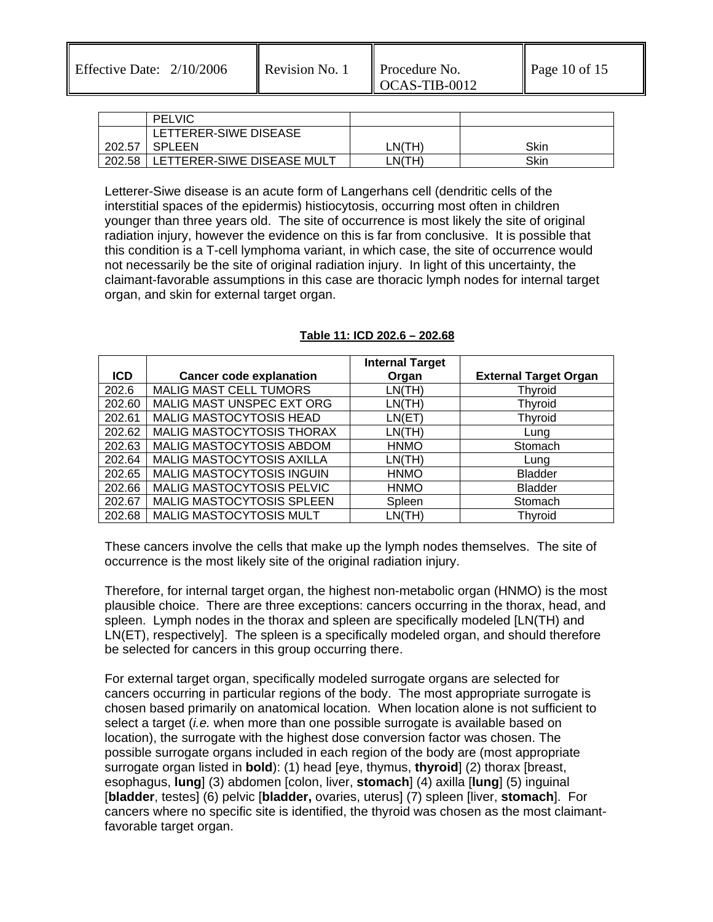Effective Date:  $2/10/2006$  Revision No. 1 Procedure No.

|        | <b>PELVIC</b>              |        |      |
|--------|----------------------------|--------|------|
|        | LETTERER-SIWE DISEASE      |        |      |
| 202.57 | <b>SPLEEN</b>              | LN(TH) | Skin |
| 202.58 | LETTERER-SIWE DISEASE MULT | LN(TH) | Skin |

Letterer-Siwe disease is an acute form of Langerhans cell (dendritic cells of the interstitial spaces of the epidermis) histiocytosis, occurring most often in children younger than three years old. The site of occurrence is most likely the site of original radiation injury, however the evidence on this is far from conclusive. It is possible that this condition is a T-cell lymphoma variant, in which case, the site of occurrence would not necessarily be the site of original radiation injury. In light of this uncertainty, the claimant-favorable assumptions in this case are thoracic lymph nodes for internal target organ, and skin for external target organ.

|        |                                | <b>Internal Target</b> |                              |
|--------|--------------------------------|------------------------|------------------------------|
| ICD.   | <b>Cancer code explanation</b> | Organ                  | <b>External Target Organ</b> |
| 202.6  | <b>MALIG MAST CELL TUMORS</b>  | LN(TH)                 | <b>Thyroid</b>               |
| 202.60 | MALIG MAST UNSPEC EXT ORG      | LN(TH)                 | <b>Thyroid</b>               |
| 202.61 | MALIG MASTOCYTOSIS HEAD        | LN(ET)                 | <b>Thyroid</b>               |
| 202.62 | MALIG MASTOCYTOSIS THORAX      | LN(TH)                 | Lung                         |
| 202.63 | MALIG MASTOCYTOSIS ABDOM       | <b>HNMO</b>            | Stomach                      |
| 202.64 | MALIG MASTOCYTOSIS AXILLA      | LN(TH)                 | Lung                         |
| 202.65 | MALIG MASTOCYTOSIS INGUIN      | <b>HNMO</b>            | <b>Bladder</b>               |
| 202.66 | MALIG MASTOCYTOSIS PELVIC      | <b>HNMO</b>            | <b>Bladder</b>               |
| 202.67 | MALIG MASTOCYTOSIS SPLEEN      | Spleen                 | Stomach                      |
| 202.68 | MALIG MASTOCYTOSIS MULT        | LN(TH)                 | <b>Thyroid</b>               |

### **Table 11: ICD 202.6 – 202.68**

These cancers involve the cells that make up the lymph nodes themselves. The site of occurrence is the most likely site of the original radiation injury.

Therefore, for internal target organ, the highest non-metabolic organ (HNMO) is the most plausible choice. There are three exceptions: cancers occurring in the thorax, head, and spleen. Lymph nodes in the thorax and spleen are specifically modeled [LN(TH) and LN(ET), respectively]. The spleen is a specifically modeled organ, and should therefore be selected for cancers in this group occurring there.

For external target organ, specifically modeled surrogate organs are selected for cancers occurring in particular regions of the body. The most appropriate surrogate is chosen based primarily on anatomical location. When location alone is not sufficient to select a target (*i.e.* when more than one possible surrogate is available based on location), the surrogate with the highest dose conversion factor was chosen. The possible surrogate organs included in each region of the body are (most appropriate surrogate organ listed in **bold**): (1) head [eye, thymus, **thyroid**] (2) thorax [breast, esophagus, **lung**] (3) abdomen [colon, liver, **stomach**] (4) axilla [**lung**] (5) inguinal [**bladder**, testes] (6) pelvic [**bladder,** ovaries, uterus] (7) spleen [liver, **stomach**]. For cancers where no specific site is identified, the thyroid was chosen as the most claimantfavorable target organ.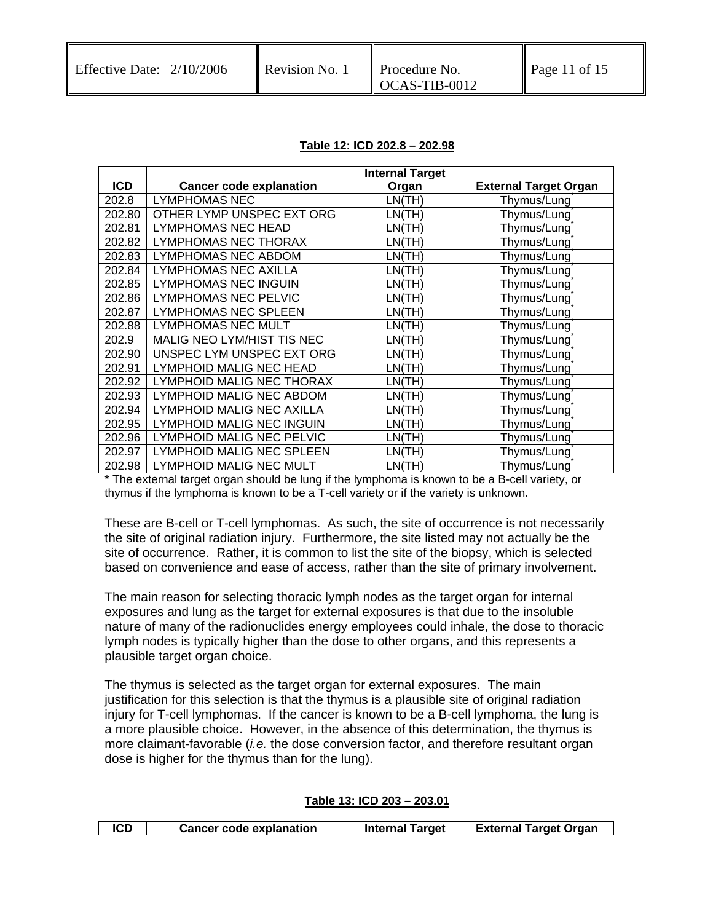#### **Table 12: ICD 202.8 – 202.98**

|            |                                | <b>Internal Target</b> |                              |
|------------|--------------------------------|------------------------|------------------------------|
| <b>ICD</b> | <b>Cancer code explanation</b> | Organ                  | <b>External Target Organ</b> |
| 202.8      | <b>LYMPHOMAS NEC</b>           | LN(TH)                 | Thymus/Lung                  |
| 202.80     | OTHER LYMP UNSPEC EXT ORG      | LN(TH)                 | Thymus/Lung                  |
| 202.81     | LYMPHOMAS NEC HEAD             | LN(TH)                 | Thymus/Lung                  |
| 202.82     | LYMPHOMAS NEC THORAX           | LN(TH)                 | Thymus/Lung                  |
| 202.83     | <b>LYMPHOMAS NEC ABDOM</b>     | LN(TH)                 | Thymus/Lung                  |
| 202.84     | LYMPHOMAS NEC AXILLA           | LN(TH)                 | Thymus/Lung                  |
| 202.85     | <b>LYMPHOMAS NEC INGUIN</b>    | LN(TH)                 | Thymus/Lung                  |
| 202.86     | <b>LYMPHOMAS NEC PELVIC</b>    | LN(TH)                 | Thymus/Lung                  |
| 202.87     | LYMPHOMAS NEC SPLEEN           | LN(TH)                 | Thymus/Lung                  |
| 202.88     | <b>LYMPHOMAS NEC MULT</b>      | LN(TH)                 | Thymus/Lung                  |
| 202.9      | MALIG NEO LYM/HIST TIS NEC     | LN(TH)                 | Thymus/Lung                  |
| 202.90     | UNSPEC LYM UNSPEC EXT ORG      | LN(TH)                 | Thymus/Lung                  |
| 202.91     | LYMPHOID MALIG NEC HEAD        | LN(TH)                 | Thymus/Lung                  |
| 202.92     | LYMPHOID MALIG NEC THORAX      | LN(TH)                 | Thymus/Lung                  |
| 202.93     | LYMPHOID MALIG NEC ABDOM       | LN(TH)                 | Thymus/Lung                  |
| 202.94     | LYMPHOID MALIG NEC AXILLA      | LN(TH)                 | Thymus/Lung                  |
| 202.95     | LYMPHOID MALIG NEC INGUIN      | LN(TH)                 | Thymus/Lung                  |
| 202.96     | LYMPHOID MALIG NEC PELVIC      | LN(TH)                 | Thymus/Lung                  |
| 202.97     | LYMPHOID MALIG NEC SPLEEN      | LN(TH)                 | Thymus/Lung                  |
| 202.98     | LYMPHOID MALIG NEC MULT        | LN(TH)                 | Thymus/Lung                  |

\* The external target organ should be lung if the lymphoma is known to be a B-cell variety, or thymus if the lymphoma is known to be a T-cell variety or if the variety is unknown.

These are B-cell or T-cell lymphomas. As such, the site of occurrence is not necessarily the site of original radiation injury. Furthermore, the site listed may not actually be the site of occurrence. Rather, it is common to list the site of the biopsy, which is selected based on convenience and ease of access, rather than the site of primary involvement.

The main reason for selecting thoracic lymph nodes as the target organ for internal exposures and lung as the target for external exposures is that due to the insoluble nature of many of the radionuclides energy employees could inhale, the dose to thoracic lymph nodes is typically higher than the dose to other organs, and this represents a plausible target organ choice.

The thymus is selected as the target organ for external exposures. The main justification for this selection is that the thymus is a plausible site of original radiation injury for T-cell lymphomas. If the cancer is known to be a B-cell lymphoma, the lung is a more plausible choice. However, in the absence of this determination, the thymus is more claimant-favorable (*i.e.* the dose conversion factor, and therefore resultant organ dose is higher for the thymus than for the lung).

#### **Table 13: ICD 203 – 203.01**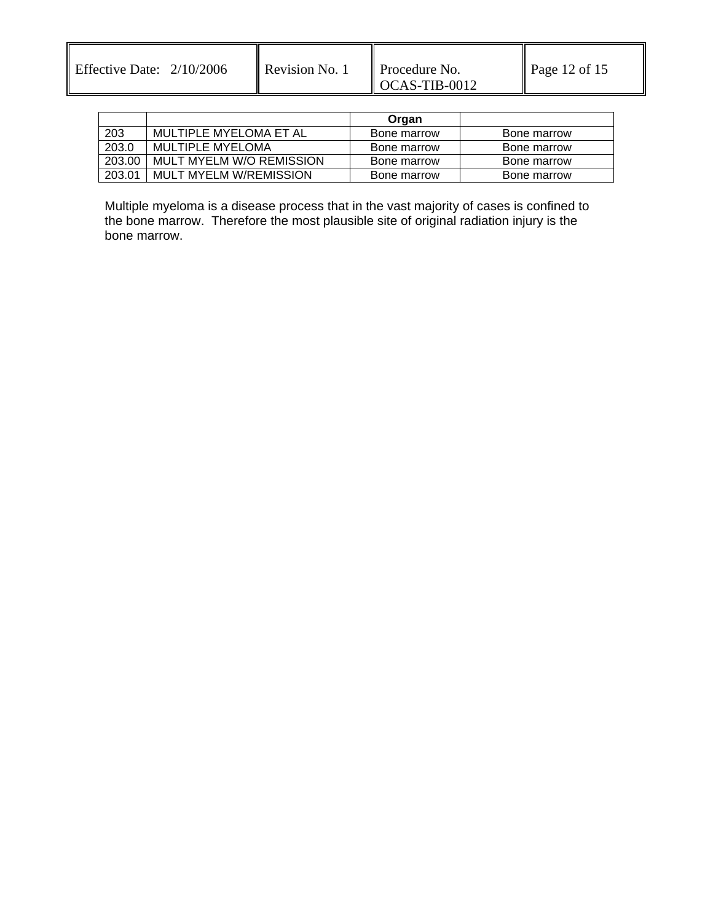Effective Date:  $2/10/2006$  Revision No. 1 Procedure No.

|        |                          | Organ       |             |
|--------|--------------------------|-------------|-------------|
| 203    | MULTIPLE MYELOMA ET AL   | Bone marrow | Bone marrow |
| 203.0  | MULTIPLE MYELOMA         | Bone marrow | Bone marrow |
| 203.00 | MULT MYELM W/O REMISSION | Bone marrow | Bone marrow |
| 203.01 | MULT MYELM W/REMISSION   | Bone marrow | Bone marrow |

Multiple myeloma is a disease process that in the vast majority of cases is confined to the bone marrow. Therefore the most plausible site of original radiation injury is the bone marrow.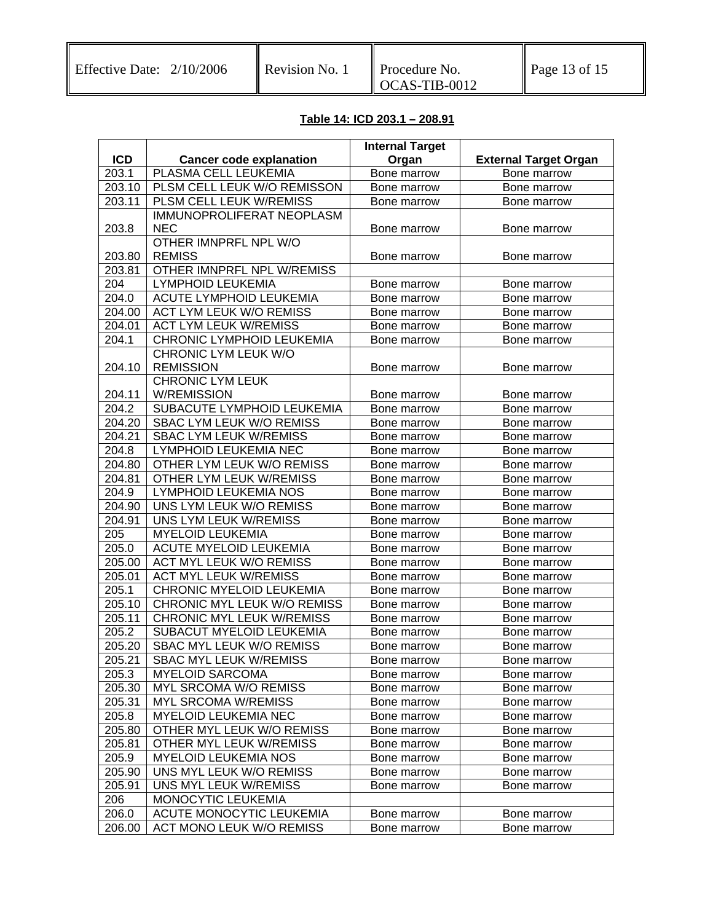# **Table 14: ICD 203.1 – 208.91**

|                    |                                  | <b>Internal Target</b> |                              |
|--------------------|----------------------------------|------------------------|------------------------------|
| <b>ICD</b>         | <b>Cancer code explanation</b>   | Organ                  | <b>External Target Organ</b> |
| 203.1              | PLASMA CELL LEUKEMIA             | Bone marrow            | Bone marrow                  |
| 203.10             | PLSM CELL LEUK W/O REMISSON      | Bone marrow            | Bone marrow                  |
| 203.11             | PLSM CELL LEUK W/REMISS          | Bone marrow            | Bone marrow                  |
|                    | IMMUNOPROLIFERAT NEOPLASM        |                        |                              |
| 203.8              | <b>NEC</b>                       | Bone marrow            | Bone marrow                  |
|                    | OTHER IMNPRFL NPL W/O            |                        |                              |
| 203.80             | <b>REMISS</b>                    | Bone marrow            | Bone marrow                  |
| 203.81             | OTHER IMNPRFL NPL W/REMISS       |                        |                              |
| 204                | <b>LYMPHOID LEUKEMIA</b>         | Bone marrow            | Bone marrow                  |
| $\overline{2}04.0$ | <b>ACUTE LYMPHOID LEUKEMIA</b>   | Bone marrow            | Bone marrow                  |
| 204.00             | <b>ACT LYM LEUK W/O REMISS</b>   | Bone marrow            | Bone marrow                  |
| 204.01             | <b>ACT LYM LEUK W/REMISS</b>     | Bone marrow            | Bone marrow                  |
| 204.1              | CHRONIC LYMPHOID LEUKEMIA        | Bone marrow            | Bone marrow                  |
|                    | CHRONIC LYM LEUK W/O             |                        |                              |
| 204.10             | <b>REMISSION</b>                 | Bone marrow            | Bone marrow                  |
|                    | <b>CHRONIC LYM LEUK</b>          |                        |                              |
| 204.11             | <b>W/REMISSION</b>               | Bone marrow            | Bone marrow                  |
| 204.2              | SUBACUTE LYMPHOID LEUKEMIA       | Bone marrow            | Bone marrow                  |
| 204.20             | SBAC LYM LEUK W/O REMISS         | Bone marrow            | Bone marrow                  |
| 204.21             | <b>SBAC LYM LEUK W/REMISS</b>    | Bone marrow            | Bone marrow                  |
| 204.8              | LYMPHOID LEUKEMIA NEC            | Bone marrow            | Bone marrow                  |
| 204.80             | OTHER LYM LEUK W/O REMISS        | Bone marrow            | Bone marrow                  |
| 204.81             | OTHER LYM LEUK W/REMISS          | Bone marrow            | Bone marrow                  |
| 204.9              | LYMPHOID LEUKEMIA NOS            | Bone marrow            | Bone marrow                  |
| 204.90             | UNS LYM LEUK W/O REMISS          | Bone marrow            | Bone marrow                  |
| 204.91             | UNS LYM LEUK W/REMISS            | Bone marrow            | Bone marrow                  |
| 205                | <b>MYELOID LEUKEMIA</b>          | Bone marrow            | Bone marrow                  |
| 205.0              | <b>ACUTE MYELOID LEUKEMIA</b>    | Bone marrow            | Bone marrow                  |
| 205.00             | <b>ACT MYL LEUK W/O REMISS</b>   | Bone marrow            | Bone marrow                  |
| 205.01             | <b>ACT MYL LEUK W/REMISS</b>     | Bone marrow            | Bone marrow                  |
| 205.1              | <b>CHRONIC MYELOID LEUKEMIA</b>  | Bone marrow            | Bone marrow                  |
| 205.10             | CHRONIC MYL LEUK W/O REMISS      | Bone marrow            | Bone marrow                  |
| 205.11             | <b>CHRONIC MYL LEUK W/REMISS</b> | Bone marrow            | Bone marrow                  |
| 205.2              | SUBACUT MYELOID LEUKEMIA         | Bone marrow            | Bone marrow                  |
| 205.20             | SBAC MYL LEUK W/O REMISS         | Bone marrow            | Bone marrow                  |
| 205.21             | <b>SBAC MYL LEUK W/REMISS</b>    | Bone marrow            | Bone marrow                  |
| 205.3              | <b>MYELOID SARCOMA</b>           | Bone marrow            | Bone marrow                  |
| 205.30             | <b>MYL SRCOMA W/O REMISS</b>     | Bone marrow            | Bone marrow                  |
| 205.31             | <b>MYL SRCOMA W/REMISS</b>       | Bone marrow            | Bone marrow                  |
| 205.8              | <b>MYELOID LEUKEMIA NEC</b>      | Bone marrow            | Bone marrow                  |
| 205.80             | OTHER MYL LEUK W/O REMISS        | Bone marrow            | Bone marrow                  |
| 205.81             | OTHER MYL LEUK W/REMISS          | Bone marrow            | Bone marrow                  |
| 205.9              | <b>MYELOID LEUKEMIA NOS</b>      | Bone marrow            | Bone marrow                  |
| 205.90             | UNS MYL LEUK W/O REMISS          | Bone marrow            | Bone marrow                  |
| 205.91             | UNS MYL LEUK W/REMISS            | Bone marrow            | Bone marrow                  |
| 206                | MONOCYTIC LEUKEMIA               |                        |                              |
| 206.0              | ACUTE MONOCYTIC LEUKEMIA         | Bone marrow            | Bone marrow                  |
| 206.00             | ACT MONO LEUK W/O REMISS         | Bone marrow            | Bone marrow                  |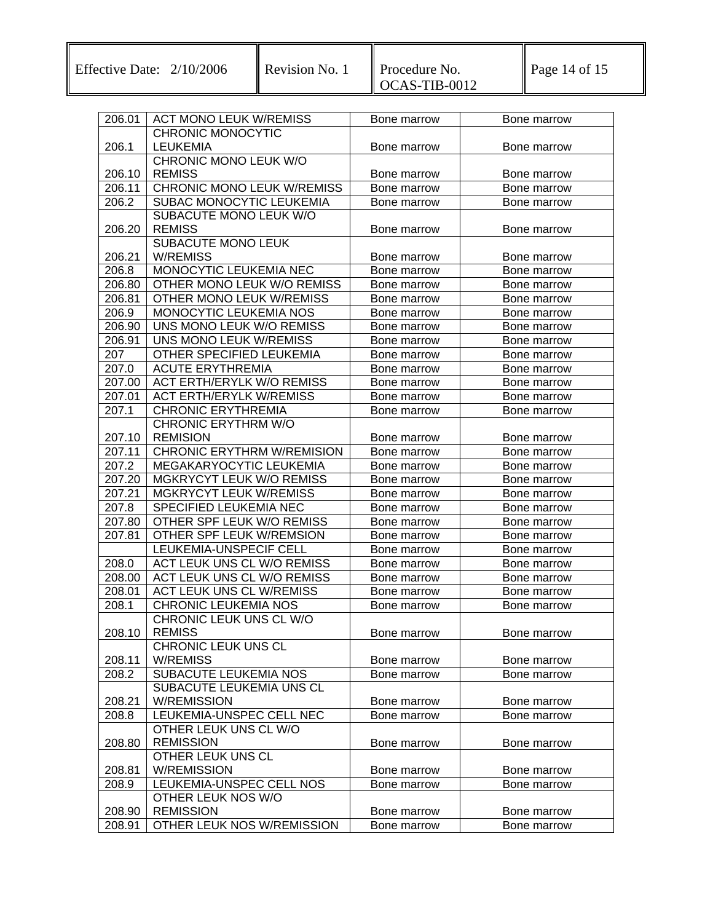Effective Date:  $2/10/2006$  Revision No. 1

| 206.01 | <b>ACT MONO LEUK W/REMISS</b>                          | Bone marrow                | Bone marrow                |
|--------|--------------------------------------------------------|----------------------------|----------------------------|
|        | <b>CHRONIC MONOCYTIC</b>                               |                            |                            |
| 206.1  | <b>LEUKEMIA</b>                                        | Bone marrow                | Bone marrow                |
|        | CHRONIC MONO LEUK W/O                                  |                            |                            |
| 206.10 | <b>REMISS</b>                                          | Bone marrow                | Bone marrow                |
| 206.11 | <b>CHRONIC MONO LEUK W/REMISS</b>                      | Bone marrow                | Bone marrow                |
| 206.2  | SUBAC MONOCYTIC LEUKEMIA                               | Bone marrow                | Bone marrow                |
|        | SUBACUTE MONO LEUK W/O                                 |                            |                            |
| 206.20 | <b>REMISS</b>                                          | Bone marrow                | Bone marrow                |
|        | SUBACUTE MONO LEUK                                     |                            |                            |
| 206.21 | <b>W/REMISS</b>                                        | Bone marrow                | Bone marrow                |
| 206.8  | MONOCYTIC LEUKEMIA NEC                                 | Bone marrow                | Bone marrow                |
| 206.80 | OTHER MONO LEUK W/O REMISS                             | Bone marrow                | Bone marrow                |
| 206.81 | OTHER MONO LEUK W/REMISS                               | Bone marrow                | Bone marrow                |
| 206.9  | MONOCYTIC LEUKEMIA NOS                                 | Bone marrow                | Bone marrow                |
| 206.90 | UNS MONO LEUK W/O REMISS                               | Bone marrow                | Bone marrow                |
| 206.91 | UNS MONO LEUK W/REMISS                                 | Bone marrow                | Bone marrow                |
| 207    | <b>OTHER SPECIFIED LEUKEMIA</b>                        | Bone marrow                | Bone marrow                |
| 207.0  | <b>ACUTE ERYTHREMIA</b>                                | Bone marrow                | Bone marrow                |
| 207.00 | <b>ACT ERTH/ERYLK W/O REMISS</b>                       | Bone marrow                | Bone marrow                |
| 207.01 | <b>ACT ERTH/ERYLK W/REMISS</b>                         | Bone marrow                | Bone marrow                |
| 207.1  | <b>CHRONIC ERYTHREMIA</b>                              | Bone marrow                | Bone marrow                |
|        | <b>CHRONIC ERYTHRM W/O</b>                             |                            |                            |
| 207.10 | <b>REMISION</b>                                        | Bone marrow                | Bone marrow                |
| 207.11 | <b>CHRONIC ERYTHRM W/REMISION</b>                      | Bone marrow                | Bone marrow                |
| 207.2  | MEGAKARYOCYTIC LEUKEMIA                                | Bone marrow                | Bone marrow                |
| 207.20 | MGKRYCYT LEUK W/O REMISS                               | Bone marrow                | Bone marrow                |
| 207.21 | <b>MGKRYCYT LEUK W/REMISS</b>                          | Bone marrow                | Bone marrow                |
| 207.8  | SPECIFIED LEUKEMIA NEC                                 | Bone marrow                | Bone marrow                |
| 207.80 | OTHER SPF LEUK W/O REMISS                              | Bone marrow                | Bone marrow                |
| 207.81 | OTHER SPF LEUK W/REMSION                               | Bone marrow                | Bone marrow                |
|        | LEUKEMIA-UNSPECIF CELL                                 | Bone marrow                | Bone marrow                |
| 208.0  | ACT LEUK UNS CL W/O REMISS                             | Bone marrow                | Bone marrow                |
| 208.00 | ACT LEUK UNS CL W/O REMISS                             | Bone marrow                | Bone marrow                |
| 208.01 | <b>ACT LEUK UNS CL W/REMISS</b>                        | Bone marrow                | Bone marrow                |
| 208.1  | <b>CHRONIC LEUKEMIA NOS</b><br>CHRONIC LEUK UNS CL W/O | Bone marrow                | Bone marrow                |
|        |                                                        |                            |                            |
| 208.10 | <b>REMISS</b><br><b>CHRONIC LEUK UNS CL</b>            | Bone marrow                | Bone marrow                |
| 208.11 | <b>W/REMISS</b>                                        |                            |                            |
| 208.2  | SUBACUTE LEUKEMIA NOS                                  | Bone marrow<br>Bone marrow | Bone marrow<br>Bone marrow |
|        | SUBACUTE LEUKEMIA UNS CL                               |                            |                            |
| 208.21 | <b>W/REMISSION</b>                                     | Bone marrow                | Bone marrow                |
| 208.8  | LEUKEMIA-UNSPEC CELL NEC                               | Bone marrow                | Bone marrow                |
|        | OTHER LEUK UNS CL W/O                                  |                            |                            |
| 208.80 | <b>REMISSION</b>                                       | Bone marrow                | Bone marrow                |
|        | OTHER LEUK UNS CL                                      |                            |                            |
| 208.81 | <b>W/REMISSION</b>                                     | Bone marrow                | Bone marrow                |
| 208.9  | LEUKEMIA-UNSPEC CELL NOS                               | Bone marrow                | Bone marrow                |
|        | OTHER LEUK NOS W/O                                     |                            |                            |
| 208.90 | <b>REMISSION</b>                                       | Bone marrow                | Bone marrow                |
| 208.91 | OTHER LEUK NOS W/REMISSION                             | Bone marrow                | Bone marrow                |